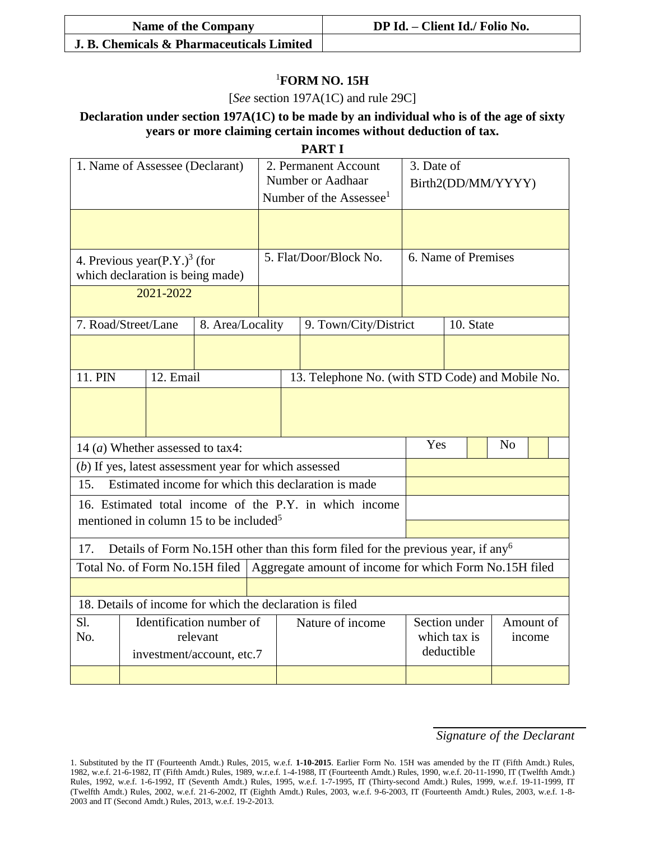| <b>Name of the Company</b>                | DP Id. - Client Id./ Folio No. |  |  |  |  |
|-------------------------------------------|--------------------------------|--|--|--|--|
| J. B. Chemicals & Pharmaceuticals Limited |                                |  |  |  |  |

## <sup>1</sup>**FORM NO. 15H**

[*See* section 197A(1C) and rule 29C]

**Declaration under section 197A(1C) to be made by an individual who is of the age of sixty years or more claiming certain incomes without deduction of tax.**

**PART I**

| 1. Name of Assessee (Declarant)                                                                     |                                                                              | 2. Permanent Account<br>Number or Aadhaar<br>Number of the Assessee <sup>1</sup> |                        | 3. Date of<br>Birth2(DD/MM/YYYY) |                                                      |                                                  |  |  |  |
|-----------------------------------------------------------------------------------------------------|------------------------------------------------------------------------------|----------------------------------------------------------------------------------|------------------------|----------------------------------|------------------------------------------------------|--------------------------------------------------|--|--|--|
|                                                                                                     |                                                                              |                                                                                  |                        |                                  |                                                      |                                                  |  |  |  |
|                                                                                                     | 4. Previous year(P.Y.) <sup>3</sup> (for<br>which declaration is being made) |                                                                                  | 5. Flat/Door/Block No. |                                  |                                                      | 6. Name of Premises                              |  |  |  |
| 2021-2022                                                                                           |                                                                              |                                                                                  |                        |                                  |                                                      |                                                  |  |  |  |
| 7. Road/Street/Lane                                                                                 | 8. Area/Locality                                                             |                                                                                  | 9. Town/City/District  |                                  |                                                      | 10. State                                        |  |  |  |
|                                                                                                     |                                                                              |                                                                                  |                        |                                  |                                                      |                                                  |  |  |  |
| 11. PIN<br>12. Email                                                                                |                                                                              |                                                                                  |                        |                                  |                                                      | 13. Telephone No. (with STD Code) and Mobile No. |  |  |  |
|                                                                                                     |                                                                              |                                                                                  |                        |                                  |                                                      |                                                  |  |  |  |
| 14 ( <i>a</i> ) Whether assessed to tax4:                                                           |                                                                              |                                                                                  | Yes                    |                                  | N <sub>o</sub>                                       |                                                  |  |  |  |
| (b) If yes, latest assessment year for which assessed                                               |                                                                              |                                                                                  |                        |                                  |                                                      |                                                  |  |  |  |
| Estimated income for which this declaration is made<br>15.                                          |                                                                              |                                                                                  |                        |                                  |                                                      |                                                  |  |  |  |
| 16. Estimated total income of the P.Y. in which income                                              |                                                                              |                                                                                  |                        |                                  |                                                      |                                                  |  |  |  |
| mentioned in column 15 to be included <sup>5</sup>                                                  |                                                                              |                                                                                  |                        |                                  |                                                      |                                                  |  |  |  |
| Details of Form No.15H other than this form filed for the previous year, if any <sup>6</sup><br>17. |                                                                              |                                                                                  |                        |                                  |                                                      |                                                  |  |  |  |
| Aggregate amount of income for which Form No.15H filed<br>Total No. of Form No.15H filed            |                                                                              |                                                                                  |                        |                                  |                                                      |                                                  |  |  |  |
|                                                                                                     |                                                                              |                                                                                  |                        |                                  |                                                      |                                                  |  |  |  |
| 18. Details of income for which the declaration is filed                                            |                                                                              |                                                                                  |                        |                                  |                                                      |                                                  |  |  |  |
| Sl.<br>No.                                                                                          | Identification number of                                                     |                                                                                  |                        | Nature of income                 | Section under<br>Amount of<br>which tax is<br>income |                                                  |  |  |  |
|                                                                                                     | relevant<br>investment/account, etc.7                                        |                                                                                  |                        |                                  |                                                      | deductible                                       |  |  |  |
|                                                                                                     |                                                                              |                                                                                  |                        |                                  |                                                      |                                                  |  |  |  |

*Signature of the Declarant*

<sup>1.</sup> Substituted by the IT (Fourteenth Amdt.) Rules, 2015, w.e.f. **1-10-2015**. Earlier Form No. 15H was amended by the IT (Fifth Amdt.) Rules, 1982, w.e.f. 21-6-1982, IT (Fifth Amdt.) Rules, 1989, w.r.e.f. 1-4-1988, IT (Fourteenth Amdt.) Rules, 1990, w.e.f. 20-11-1990, IT (Twelfth Amdt.) Rules, 1992, w.e.f. 1-6-1992, IT (Seventh Amdt.) Rules, 1995, w.e.f. 1-7-1995, IT (Thirty-second Amdt.) Rules, 1999, w.e.f. 19-11-1999, IT (Twelfth Amdt.) Rules, 2002, w.e.f. 21-6-2002, IT (Eighth Amdt.) Rules, 2003, w.e.f. 9-6-2003, IT (Fourteenth Amdt.) Rules, 2003, w.e.f. 1-8- 2003 and IT (Second Amdt.) Rules, 2013, w.e.f. 19-2-2013.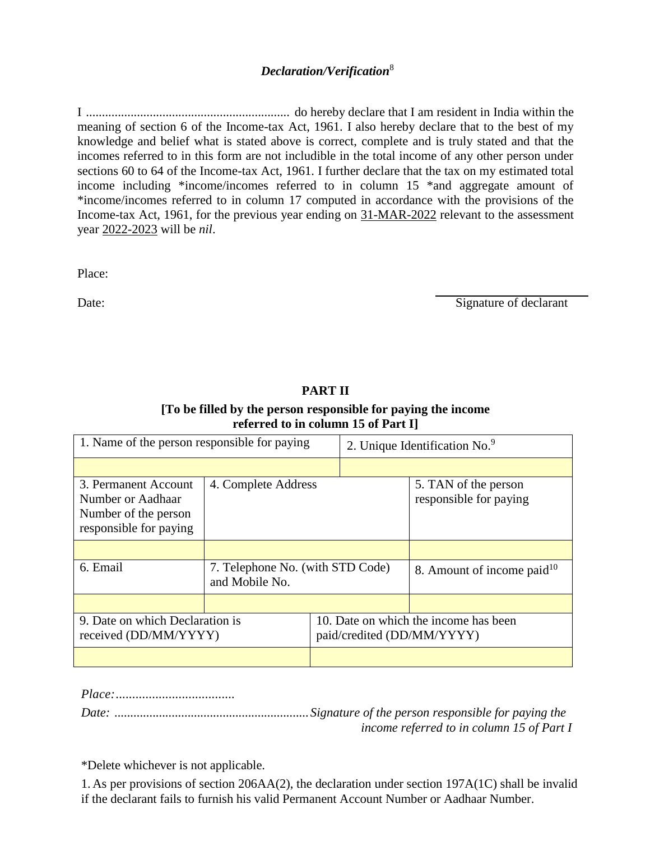## *Declaration/Verification*<sup>8</sup>

I ................................................................ do hereby declare that I am resident in India within the meaning of section 6 of the Income-tax Act, 1961. I also hereby declare that to the best of my knowledge and belief what is stated above is correct, complete and is truly stated and that the incomes referred to in this form are not includible in the total income of any other person under sections 60 to 64 of the Income-tax Act, 1961. I further declare that the tax on my estimated total income including \*income/incomes referred to in column 15 \*and aggregate amount of \*income/incomes referred to in column 17 computed in accordance with the provisions of the Income-tax Act, 1961, for the previous year ending on 31-MAR-2022 relevant to the assessment year 2022-2023 will be *nil*.

Place:

Date: Signature of declarant

| 1. Name of the person responsible for paying                                                |                                                    |  | 2. Unique Identification No. <sup>9</sup>                           |                                                |  |  |
|---------------------------------------------------------------------------------------------|----------------------------------------------------|--|---------------------------------------------------------------------|------------------------------------------------|--|--|
|                                                                                             |                                                    |  |                                                                     |                                                |  |  |
| 3. Permanent Account<br>Number or Aadhaar<br>Number of the person<br>responsible for paying | 4. Complete Address                                |  |                                                                     | 5. TAN of the person<br>responsible for paying |  |  |
|                                                                                             |                                                    |  |                                                                     |                                                |  |  |
| 6. Email                                                                                    | 7. Telephone No. (with STD Code)<br>and Mobile No. |  | 8. Amount of income paid $10$                                       |                                                |  |  |
|                                                                                             |                                                    |  |                                                                     |                                                |  |  |
| 9. Date on which Declaration is<br>received (DD/MM/YYYY)                                    |                                                    |  | 10. Date on which the income has been<br>paid/credited (DD/MM/YYYY) |                                                |  |  |
|                                                                                             |                                                    |  |                                                                     |                                                |  |  |

## **PART II**

## **[To be filled by the person responsible for paying the income referred to in column 15 of Part I]**

*Place:....................................*

*Date: .............................................................Signature of the person responsible for paying the income referred to in column 15 of Part I*

\*Delete whichever is not applicable.

1. As per provisions of section 206AA(2), the declaration under section 197A(1C) shall be invalid if the declarant fails to furnish his valid Permanent Account Number or Aadhaar Number.